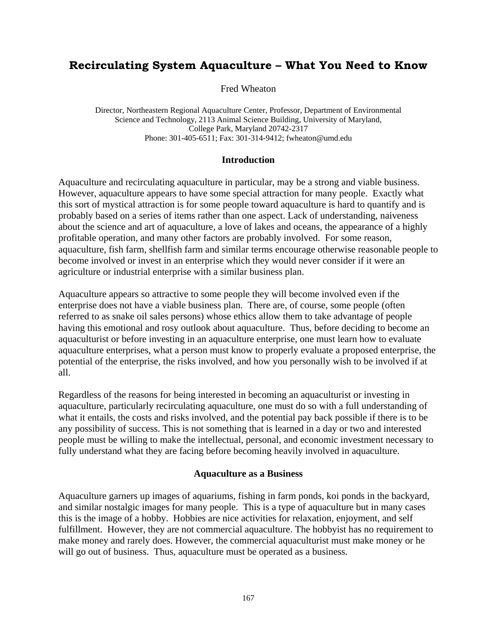# **Recirculating System Aquaculture – What You Need to Know**

Fred Wheaton

Director, Northeastern Regional Aquaculture Center, Professor, Department of Environmental Science and Technology, 2113 Animal Science Building, University of Maryland, College Park, Maryland 20742-2317 Phone: 301-405-6511; Fax: 301-314-9412; fwheaton@umd.edu

### **Introduction**

Aquaculture and recirculating aquaculture in particular, may be a strong and viable business. However, aquaculture appears to have some special attraction for many people. Exactly what this sort of mystical attraction is for some people toward aquaculture is hard to quantify and is probably based on a series of items rather than one aspect. Lack of understanding, naiveness about the science and art of aquaculture, a love of lakes and oceans, the appearance of a highly profitable operation, and many other factors are probably involved. For some reason, aquaculture, fish farm, shellfish farm and similar terms encourage otherwise reasonable people to become involved or invest in an enterprise which they would never consider if it were an agriculture or industrial enterprise with a similar business plan.

Aquaculture appears so attractive to some people they will become involved even if the enterprise does not have a viable business plan. There are, of course, some people (often referred to as snake oil sales persons) whose ethics allow them to take advantage of people having this emotional and rosy outlook about aquaculture. Thus, before deciding to become an aquaculturist or before investing in an aquaculture enterprise, one must learn how to evaluate aquaculture enterprises, what a person must know to properly evaluate a proposed enterprise, the potential of the enterprise, the risks involved, and how you personally wish to be involved if at all.

Regardless of the reasons for being interested in becoming an aquaculturist or investing in aquaculture, particularly recirculating aquaculture, one must do so with a full understanding of what it entails, the costs and risks involved, and the potential pay back possible if there is to be any possibility of success. This is not something that is learned in a day or two and interested people must be willing to make the intellectual, personal, and economic investment necessary to fully understand what they are facing before becoming heavily involved in aquaculture.

#### **Aquaculture as a Business**

Aquaculture garners up images of aquariums, fishing in farm ponds, koi ponds in the backyard, and similar nostalgic images for many people. This is a type of aquaculture but in many cases this is the image of a hobby. Hobbies are nice activities for relaxation, enjoyment, and self fulfillment. However, they are not commercial aquaculture. The hobbyist has no requirement to make money and rarely does. However, the commercial aquaculturist must make money or he will go out of business. Thus, aquaculture must be operated as a business.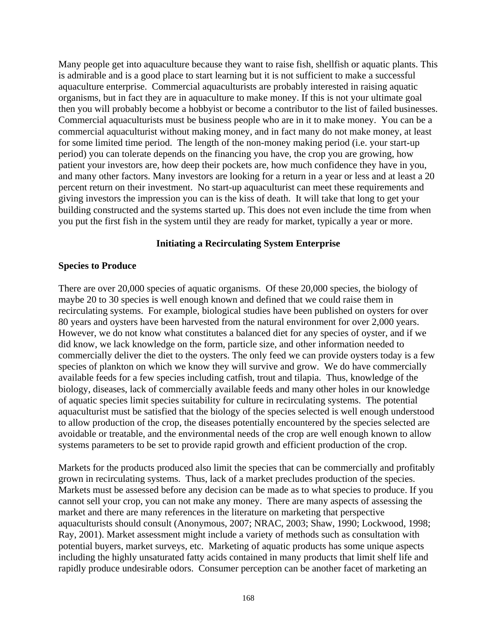Many people get into aquaculture because they want to raise fish, shellfish or aquatic plants. This is admirable and is a good place to start learning but it is not sufficient to make a successful aquaculture enterprise. Commercial aquaculturists are probably interested in raising aquatic organisms, but in fact they are in aquaculture to make money. If this is not your ultimate goal then you will probably become a hobbyist or become a contributor to the list of failed businesses. Commercial aquaculturists must be business people who are in it to make money. You can be a commercial aquaculturist without making money, and in fact many do not make money, at least for some limited time period. The length of the non-money making period (i.e. your start-up period) you can tolerate depends on the financing you have, the crop you are growing, how patient your investors are, how deep their pockets are, how much confidence they have in you, and many other factors. Many investors are looking for a return in a year or less and at least a 20 percent return on their investment. No start-up aquaculturist can meet these requirements and giving investors the impression you can is the kiss of death. It will take that long to get your building constructed and the systems started up. This does not even include the time from when you put the first fish in the system until they are ready for market, typically a year or more.

#### **Initiating a Recirculating System Enterprise**

#### **Species to Produce**

There are over 20,000 species of aquatic organisms. Of these 20,000 species, the biology of maybe 20 to 30 species is well enough known and defined that we could raise them in recirculating systems. For example, biological studies have been published on oysters for over 80 years and oysters have been harvested from the natural environment for over 2,000 years. However, we do not know what constitutes a balanced diet for any species of oyster, and if we did know, we lack knowledge on the form, particle size, and other information needed to commercially deliver the diet to the oysters. The only feed we can provide oysters today is a few species of plankton on which we know they will survive and grow. We do have commercially available feeds for a few species including catfish, trout and tilapia. Thus, knowledge of the biology, diseases, lack of commercially available feeds and many other holes in our knowledge of aquatic species limit species suitability for culture in recirculating systems. The potential aquaculturist must be satisfied that the biology of the species selected is well enough understood to allow production of the crop, the diseases potentially encountered by the species selected are avoidable or treatable, and the environmental needs of the crop are well enough known to allow systems parameters to be set to provide rapid growth and efficient production of the crop.

Markets for the products produced also limit the species that can be commercially and profitably grown in recirculating systems. Thus, lack of a market precludes production of the species. Markets must be assessed before any decision can be made as to what species to produce. If you cannot sell your crop, you can not make any money. There are many aspects of assessing the market and there are many references in the literature on marketing that perspective aquaculturists should consult (Anonymous, 2007; NRAC, 2003; Shaw, 1990; Lockwood, 1998; Ray, 2001). Market assessment might include a variety of methods such as consultation with potential buyers, market surveys, etc. Marketing of aquatic products has some unique aspects including the highly unsaturated fatty acids contained in many products that limit shelf life and rapidly produce undesirable odors. Consumer perception can be another facet of marketing an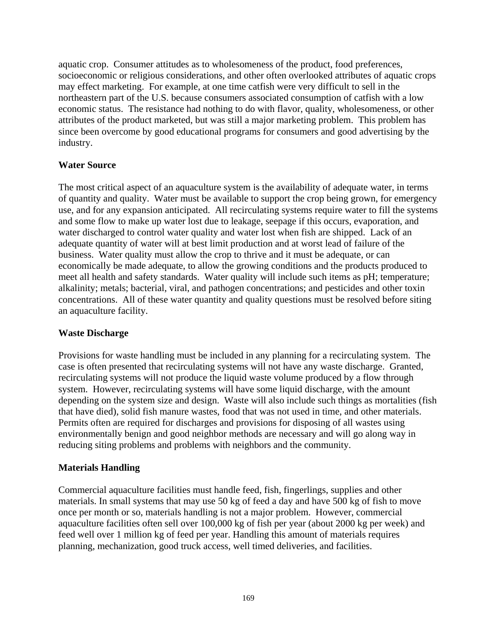aquatic crop. Consumer attitudes as to wholesomeness of the product, food preferences, socioeconomic or religious considerations, and other often overlooked attributes of aquatic crops may effect marketing. For example, at one time catfish were very difficult to sell in the northeastern part of the U.S. because consumers associated consumption of catfish with a low economic status. The resistance had nothing to do with flavor, quality, wholesomeness, or other attributes of the product marketed, but was still a major marketing problem. This problem has since been overcome by good educational programs for consumers and good advertising by the industry.

## **Water Source**

The most critical aspect of an aquaculture system is the availability of adequate water, in terms of quantity and quality. Water must be available to support the crop being grown, for emergency use, and for any expansion anticipated. All recirculating systems require water to fill the systems and some flow to make up water lost due to leakage, seepage if this occurs, evaporation, and water discharged to control water quality and water lost when fish are shipped. Lack of an adequate quantity of water will at best limit production and at worst lead of failure of the business. Water quality must allow the crop to thrive and it must be adequate, or can economically be made adequate, to allow the growing conditions and the products produced to meet all health and safety standards. Water quality will include such items as pH; temperature; alkalinity; metals; bacterial, viral, and pathogen concentrations; and pesticides and other toxin concentrations. All of these water quantity and quality questions must be resolved before siting an aquaculture facility.

## **Waste Discharge**

Provisions for waste handling must be included in any planning for a recirculating system. The case is often presented that recirculating systems will not have any waste discharge. Granted, recirculating systems will not produce the liquid waste volume produced by a flow through system. However, recirculating systems will have some liquid discharge, with the amount depending on the system size and design. Waste will also include such things as mortalities (fish that have died), solid fish manure wastes, food that was not used in time, and other materials. Permits often are required for discharges and provisions for disposing of all wastes using environmentally benign and good neighbor methods are necessary and will go along way in reducing siting problems and problems with neighbors and the community.

## **Materials Handling**

Commercial aquaculture facilities must handle feed, fish, fingerlings, supplies and other materials. In small systems that may use 50 kg of feed a day and have 500 kg of fish to move once per month or so, materials handling is not a major problem. However, commercial aquaculture facilities often sell over 100,000 kg of fish per year (about 2000 kg per week) and feed well over 1 million kg of feed per year. Handling this amount of materials requires planning, mechanization, good truck access, well timed deliveries, and facilities.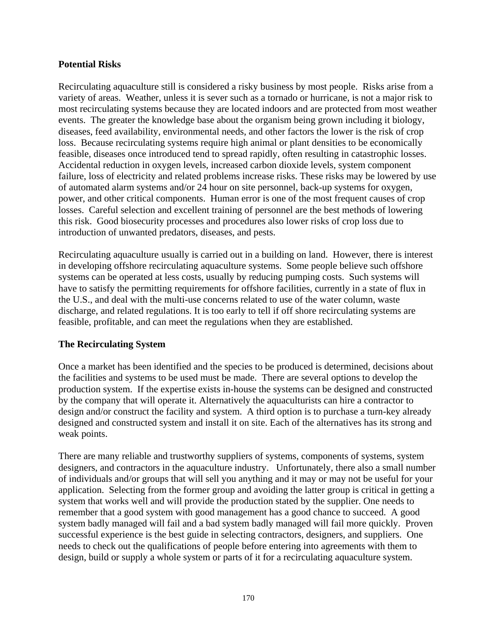## **Potential Risks**

Recirculating aquaculture still is considered a risky business by most people. Risks arise from a variety of areas. Weather, unless it is sever such as a tornado or hurricane, is not a major risk to most recirculating systems because they are located indoors and are protected from most weather events. The greater the knowledge base about the organism being grown including it biology, diseases, feed availability, environmental needs, and other factors the lower is the risk of crop loss. Because recirculating systems require high animal or plant densities to be economically feasible, diseases once introduced tend to spread rapidly, often resulting in catastrophic losses. Accidental reduction in oxygen levels, increased carbon dioxide levels, system component failure, loss of electricity and related problems increase risks. These risks may be lowered by use of automated alarm systems and/or 24 hour on site personnel, back-up systems for oxygen, power, and other critical components. Human error is one of the most frequent causes of crop losses. Careful selection and excellent training of personnel are the best methods of lowering this risk. Good biosecurity processes and procedures also lower risks of crop loss due to introduction of unwanted predators, diseases, and pests.

Recirculating aquaculture usually is carried out in a building on land. However, there is interest in developing offshore recirculating aquaculture systems. Some people believe such offshore systems can be operated at less costs, usually by reducing pumping costs. Such systems will have to satisfy the permitting requirements for offshore facilities, currently in a state of flux in the U.S., and deal with the multi-use concerns related to use of the water column, waste discharge, and related regulations. It is too early to tell if off shore recirculating systems are feasible, profitable, and can meet the regulations when they are established.

## **The Recirculating System**

Once a market has been identified and the species to be produced is determined, decisions about the facilities and systems to be used must be made. There are several options to develop the production system. If the expertise exists in-house the systems can be designed and constructed by the company that will operate it. Alternatively the aquaculturists can hire a contractor to design and/or construct the facility and system. A third option is to purchase a turn-key already designed and constructed system and install it on site. Each of the alternatives has its strong and weak points.

There are many reliable and trustworthy suppliers of systems, components of systems, system designers, and contractors in the aquaculture industry. Unfortunately, there also a small number of individuals and/or groups that will sell you anything and it may or may not be useful for your application. Selecting from the former group and avoiding the latter group is critical in getting a system that works well and will provide the production stated by the supplier. One needs to remember that a good system with good management has a good chance to succeed. A good system badly managed will fail and a bad system badly managed will fail more quickly. Proven successful experience is the best guide in selecting contractors, designers, and suppliers. One needs to check out the qualifications of people before entering into agreements with them to design, build or supply a whole system or parts of it for a recirculating aquaculture system.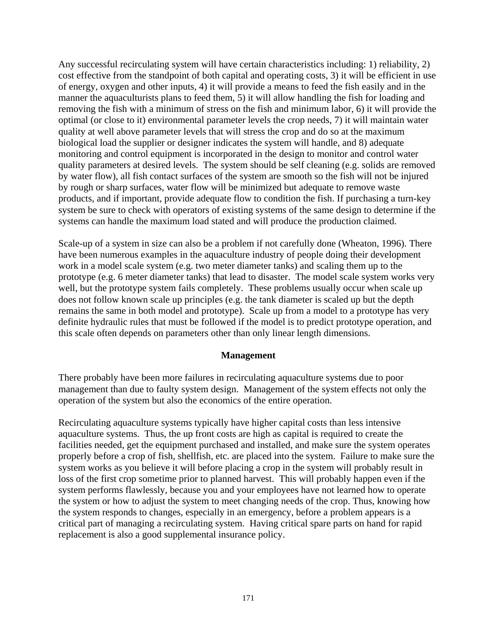Any successful recirculating system will have certain characteristics including: 1) reliability, 2) cost effective from the standpoint of both capital and operating costs, 3) it will be efficient in use of energy, oxygen and other inputs, 4) it will provide a means to feed the fish easily and in the manner the aquaculturists plans to feed them, 5) it will allow handling the fish for loading and removing the fish with a minimum of stress on the fish and minimum labor, 6) it will provide the optimal (or close to it) environmental parameter levels the crop needs, 7) it will maintain water quality at well above parameter levels that will stress the crop and do so at the maximum biological load the supplier or designer indicates the system will handle, and 8) adequate monitoring and control equipment is incorporated in the design to monitor and control water quality parameters at desired levels. The system should be self cleaning (e.g. solids are removed by water flow), all fish contact surfaces of the system are smooth so the fish will not be injured by rough or sharp surfaces, water flow will be minimized but adequate to remove waste products, and if important, provide adequate flow to condition the fish. If purchasing a turn-key system be sure to check with operators of existing systems of the same design to determine if the systems can handle the maximum load stated and will produce the production claimed.

Scale-up of a system in size can also be a problem if not carefully done (Wheaton, 1996). There have been numerous examples in the aquaculture industry of people doing their development work in a model scale system (e.g. two meter diameter tanks) and scaling them up to the prototype (e.g. 6 meter diameter tanks) that lead to disaster. The model scale system works very well, but the prototype system fails completely. These problems usually occur when scale up does not follow known scale up principles (e.g. the tank diameter is scaled up but the depth remains the same in both model and prototype). Scale up from a model to a prototype has very definite hydraulic rules that must be followed if the model is to predict prototype operation, and this scale often depends on parameters other than only linear length dimensions.

## **Management**

There probably have been more failures in recirculating aquaculture systems due to poor management than due to faulty system design. Management of the system effects not only the operation of the system but also the economics of the entire operation.

Recirculating aquaculture systems typically have higher capital costs than less intensive aquaculture systems. Thus, the up front costs are high as capital is required to create the facilities needed, get the equipment purchased and installed, and make sure the system operates properly before a crop of fish, shellfish, etc. are placed into the system. Failure to make sure the system works as you believe it will before placing a crop in the system will probably result in loss of the first crop sometime prior to planned harvest. This will probably happen even if the system performs flawlessly, because you and your employees have not learned how to operate the system or how to adjust the system to meet changing needs of the crop. Thus, knowing how the system responds to changes, especially in an emergency, before a problem appears is a critical part of managing a recirculating system. Having critical spare parts on hand for rapid replacement is also a good supplemental insurance policy.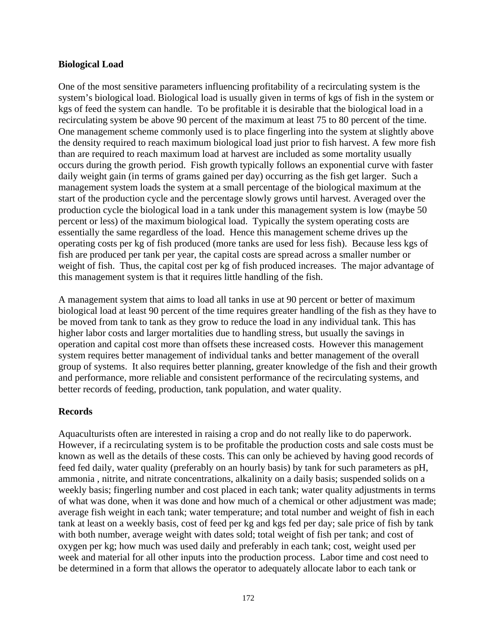#### **Biological Load**

One of the most sensitive parameters influencing profitability of a recirculating system is the system's biological load. Biological load is usually given in terms of kgs of fish in the system or kgs of feed the system can handle. To be profitable it is desirable that the biological load in a recirculating system be above 90 percent of the maximum at least 75 to 80 percent of the time. One management scheme commonly used is to place fingerling into the system at slightly above the density required to reach maximum biological load just prior to fish harvest. A few more fish than are required to reach maximum load at harvest are included as some mortality usually occurs during the growth period. Fish growth typically follows an exponential curve with faster daily weight gain (in terms of grams gained per day) occurring as the fish get larger. Such a management system loads the system at a small percentage of the biological maximum at the start of the production cycle and the percentage slowly grows until harvest. Averaged over the production cycle the biological load in a tank under this management system is low (maybe 50 percent or less) of the maximum biological load. Typically the system operating costs are essentially the same regardless of the load. Hence this management scheme drives up the operating costs per kg of fish produced (more tanks are used for less fish). Because less kgs of fish are produced per tank per year, the capital costs are spread across a smaller number or weight of fish. Thus, the capital cost per kg of fish produced increases. The major advantage of this management system is that it requires little handling of the fish.

A management system that aims to load all tanks in use at 90 percent or better of maximum biological load at least 90 percent of the time requires greater handling of the fish as they have to be moved from tank to tank as they grow to reduce the load in any individual tank. This has higher labor costs and larger mortalities due to handling stress, but usually the savings in operation and capital cost more than offsets these increased costs. However this management system requires better management of individual tanks and better management of the overall group of systems. It also requires better planning, greater knowledge of the fish and their growth and performance, more reliable and consistent performance of the recirculating systems, and better records of feeding, production, tank population, and water quality.

## **Records**

Aquaculturists often are interested in raising a crop and do not really like to do paperwork. However, if a recirculating system is to be profitable the production costs and sale costs must be known as well as the details of these costs. This can only be achieved by having good records of feed fed daily, water quality (preferably on an hourly basis) by tank for such parameters as pH, ammonia , nitrite, and nitrate concentrations, alkalinity on a daily basis; suspended solids on a weekly basis; fingerling number and cost placed in each tank; water quality adjustments in terms of what was done, when it was done and how much of a chemical or other adjustment was made; average fish weight in each tank; water temperature; and total number and weight of fish in each tank at least on a weekly basis, cost of feed per kg and kgs fed per day; sale price of fish by tank with both number, average weight with dates sold; total weight of fish per tank; and cost of oxygen per kg; how much was used daily and preferably in each tank; cost, weight used per week and material for all other inputs into the production process. Labor time and cost need to be determined in a form that allows the operator to adequately allocate labor to each tank or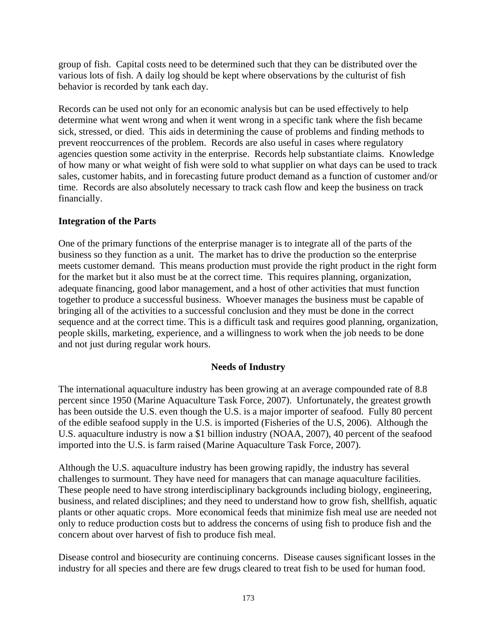group of fish. Capital costs need to be determined such that they can be distributed over the various lots of fish. A daily log should be kept where observations by the culturist of fish behavior is recorded by tank each day.

Records can be used not only for an economic analysis but can be used effectively to help determine what went wrong and when it went wrong in a specific tank where the fish became sick, stressed, or died. This aids in determining the cause of problems and finding methods to prevent reoccurrences of the problem. Records are also useful in cases where regulatory agencies question some activity in the enterprise. Records help substantiate claims. Knowledge of how many or what weight of fish were sold to what supplier on what days can be used to track sales, customer habits, and in forecasting future product demand as a function of customer and/or time. Records are also absolutely necessary to track cash flow and keep the business on track financially.

## **Integration of the Parts**

One of the primary functions of the enterprise manager is to integrate all of the parts of the business so they function as a unit. The market has to drive the production so the enterprise meets customer demand. This means production must provide the right product in the right form for the market but it also must be at the correct time. This requires planning, organization, adequate financing, good labor management, and a host of other activities that must function together to produce a successful business. Whoever manages the business must be capable of bringing all of the activities to a successful conclusion and they must be done in the correct sequence and at the correct time. This is a difficult task and requires good planning, organization, people skills, marketing, experience, and a willingness to work when the job needs to be done and not just during regular work hours.

## **Needs of Industry**

The international aquaculture industry has been growing at an average compounded rate of 8.8 percent since 1950 (Marine Aquaculture Task Force, 2007). Unfortunately, the greatest growth has been outside the U.S. even though the U.S. is a major importer of seafood. Fully 80 percent of the edible seafood supply in the U.S. is imported (Fisheries of the U.S, 2006). Although the U.S. aquaculture industry is now a \$1 billion industry (NOAA, 2007), 40 percent of the seafood imported into the U.S. is farm raised (Marine Aquaculture Task Force, 2007).

Although the U.S. aquaculture industry has been growing rapidly, the industry has several challenges to surmount. They have need for managers that can manage aquaculture facilities. These people need to have strong interdisciplinary backgrounds including biology, engineering, business, and related disciplines; and they need to understand how to grow fish, shellfish, aquatic plants or other aquatic crops. More economical feeds that minimize fish meal use are needed not only to reduce production costs but to address the concerns of using fish to produce fish and the concern about over harvest of fish to produce fish meal.

Disease control and biosecurity are continuing concerns. Disease causes significant losses in the industry for all species and there are few drugs cleared to treat fish to be used for human food.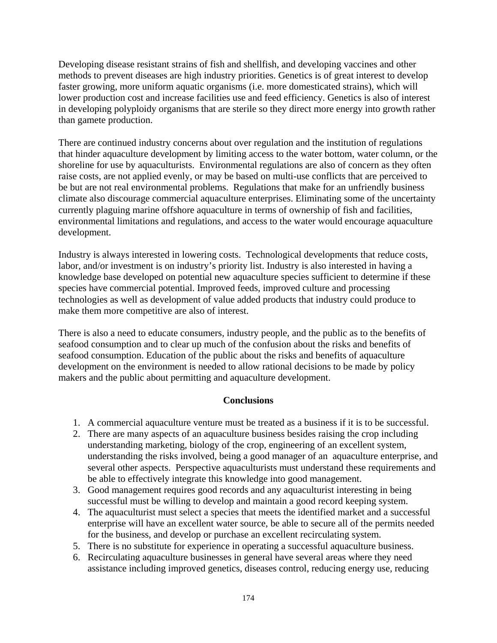Developing disease resistant strains of fish and shellfish, and developing vaccines and other methods to prevent diseases are high industry priorities. Genetics is of great interest to develop faster growing, more uniform aquatic organisms (i.e. more domesticated strains), which will lower production cost and increase facilities use and feed efficiency. Genetics is also of interest in developing polyploidy organisms that are sterile so they direct more energy into growth rather than gamete production.

There are continued industry concerns about over regulation and the institution of regulations that hinder aquaculture development by limiting access to the water bottom, water column, or the shoreline for use by aquaculturists. Environmental regulations are also of concern as they often raise costs, are not applied evenly, or may be based on multi-use conflicts that are perceived to be but are not real environmental problems. Regulations that make for an unfriendly business climate also discourage commercial aquaculture enterprises. Eliminating some of the uncertainty currently plaguing marine offshore aquaculture in terms of ownership of fish and facilities, environmental limitations and regulations, and access to the water would encourage aquaculture development.

Industry is always interested in lowering costs. Technological developments that reduce costs, labor, and/or investment is on industry's priority list. Industry is also interested in having a knowledge base developed on potential new aquaculture species sufficient to determine if these species have commercial potential. Improved feeds, improved culture and processing technologies as well as development of value added products that industry could produce to make them more competitive are also of interest.

There is also a need to educate consumers, industry people, and the public as to the benefits of seafood consumption and to clear up much of the confusion about the risks and benefits of seafood consumption. Education of the public about the risks and benefits of aquaculture development on the environment is needed to allow rational decisions to be made by policy makers and the public about permitting and aquaculture development.

## **Conclusions**

- 1. A commercial aquaculture venture must be treated as a business if it is to be successful.
- 2. There are many aspects of an aquaculture business besides raising the crop including understanding marketing, biology of the crop, engineering of an excellent system, understanding the risks involved, being a good manager of an aquaculture enterprise, and several other aspects. Perspective aquaculturists must understand these requirements and be able to effectively integrate this knowledge into good management.
- 3. Good management requires good records and any aquaculturist interesting in being successful must be willing to develop and maintain a good record keeping system.
- 4. The aquaculturist must select a species that meets the identified market and a successful enterprise will have an excellent water source, be able to secure all of the permits needed for the business, and develop or purchase an excellent recirculating system.
- 5. There is no substitute for experience in operating a successful aquaculture business.
- 6. Recirculating aquaculture businesses in general have several areas where they need assistance including improved genetics, diseases control, reducing energy use, reducing